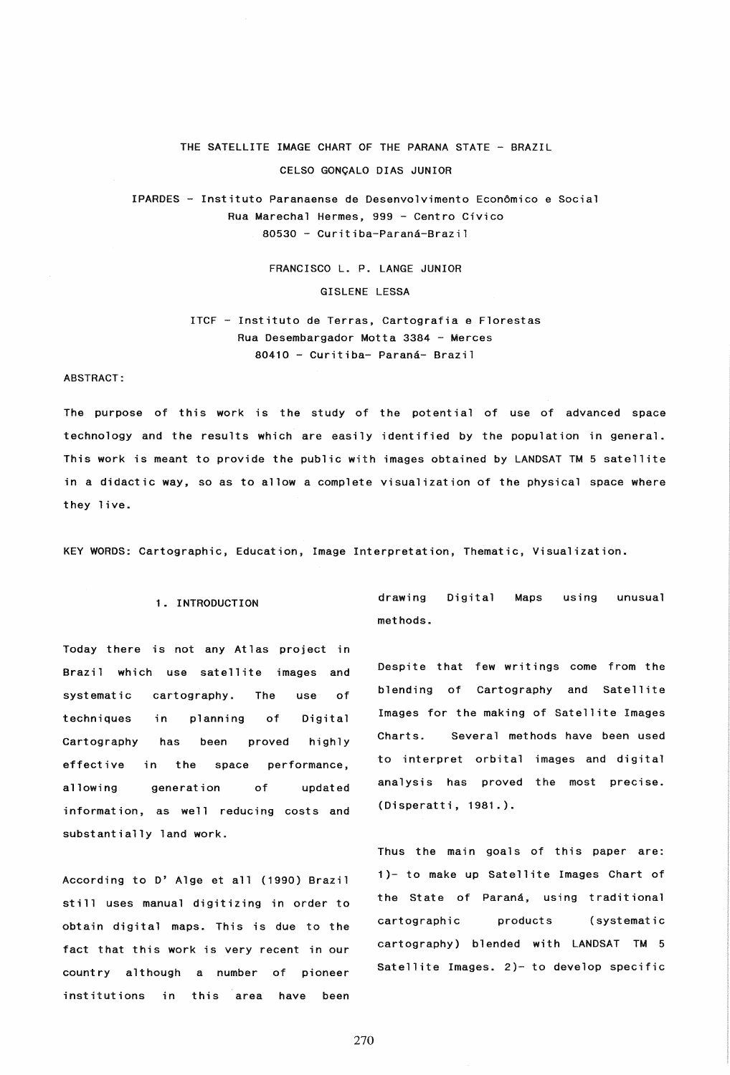# THE SATELLITE IMAGE CHART OF THE PARANA STATE - BRAZIL CELSO GONQALO DIAS JUNIOR

IPARDES - Instituto Paranaense de Desenvolvimento EconOmico e Social Rua Marechal Hermes, 999 - Centro Civico 80530 - Curitiba-Parana-Brazil

> FRANCISCO L. P. LANGE JUNIOR GISLENE LESSA

ITCF - Instituto de Terras, Cartografia e Florestas Rua Desembargador Motta 3384 - Merces 80410 - Curitiba- Parana- Brazil

# ABSTRACT:

The purpose of this work is the study of the potential of use of advanced space technology and the results which are easily identified by the population in general. This work is meant to provide the public with images obtained by LANDSAT TM 5 satellite in a didactic way, so as to allow a complete visualization of the physical space where they live.

KEY WORDS: Cartographic, Education, Image Interpretation, Thematic, Visualization.

# 1. INTRODUCTION

Today there is not any Atlas project in Brazil which use satellite images and systematic cartography. The use of techniques in planning of Digital Cartography has been proved highly effective in the space performance, allowing generation of updated information. as well reducing costs and substantially land work.

According to D' Alge et all (1990) Brazil still uses manual digitizing in order to obtain digital maps. This is due to the fact that this work is very recent in our country although a number of pioneer institutions in this area have been

drawing methods. Digital Maps using unusual

Despite that few writings come from the blending of Cartography and Satellite Images for the making of Satellite Images Charts. Several methods have been used to interpret orbital images and digital analysis has proved the most precise. (Disperatti, 1981.).

Thus the main goals of this paper are: 1)- to make up Satellite Images Chart of the State of Paraná, using traditional cartographic products (systematic cartography) blended with LANDSAT TM 5 Satellite Images. 2)- to develop specific

270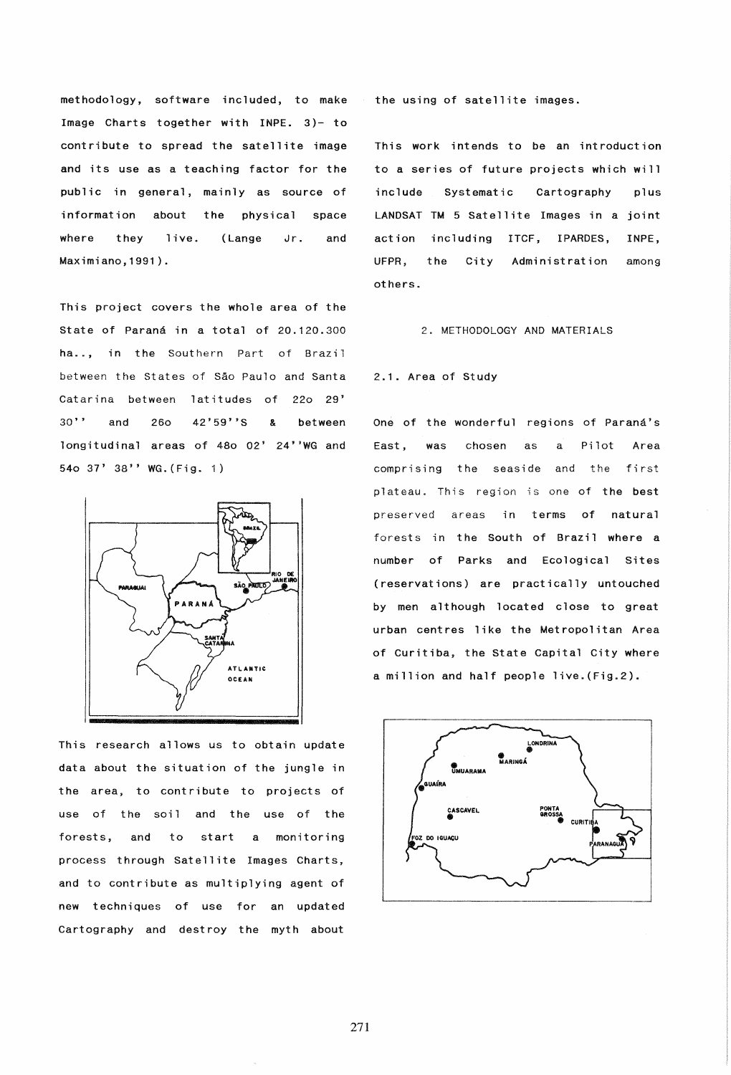methodology. software included, to make the using of satellite images. Image Charts together with INPE. 3)- to contribute to spread the satellite image This work intends to be an introduction and its use as a teaching factor for the to a series of future projects which will public in general, mainly as source of include Systematic Cartography plus information about the physical space LANDSAT TM 5 Satellite Images in a joint where they live. (Lange Jr. and action including ITCF, IPARDES, INPE, Maximiano,1991). UFPR, the Ci ty Administration among

This project covers the whole area of the State of Paraná in a total of 20.120.300 2. METHODOLOGY AND MATERIALS ha.., in the Southern Part of Brazil between the States of Sao Paulo and Santa 2.1. Area of Study Catarina between latitudes of 220 29' 30'' and 260 42'59''S & between One of the wonderful regions of Paraná's longitudinal areas of 480 02' 24''WG and East, was chosen as a Pilot Area 540 37' 38" WG.(Fig. 1) comprising the seaside and the first



This research allows us to obtain update data about the situation of the jungle in the area, to contribute to projects of use of the soil and the use of the forests, and to start a monitoring process through Satellite Images Charts, and to contribute as multiplying agent of new techniques of use for an updated Cartography and destroy the myth about

others.

plateau. This region is one of the best preserved areas in terms of natural forests in the South of Brazil where a number of Parks and Ecological Sites (reservations) are practically untouched by men although located close to great urban centres like the Metropolitan Area of Curitiba, the State Capital City where a million and half people live.(Fig.2).

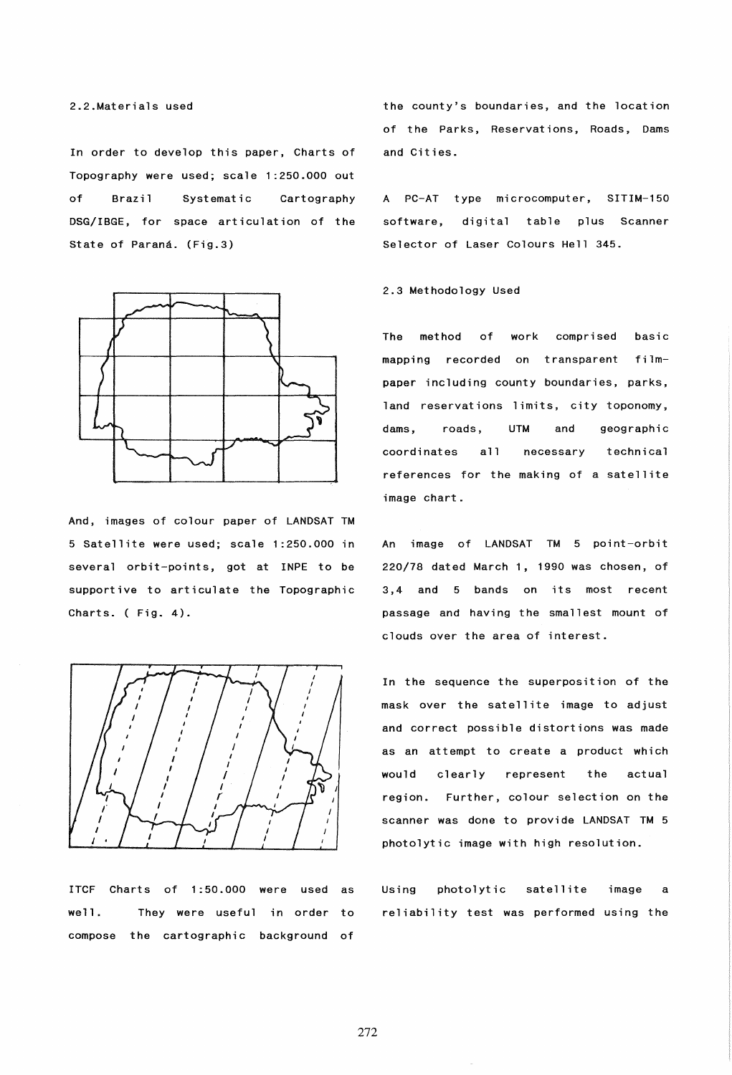In order to develop this paper, Charts of Topography were used; scale 1:250.000 out of Brazil Systematic Cartography DSG/IBGE, for space articulation of the State of Paraná. (Fig.3)



And, images of colour paper of LANDSAT TM 5 Satellite were used; scale 1:250.000 in several orbit-points, got at INPE to be supportive to articulate the Topographic Charts. ( Fig. 4).



ITCF Charts of 1:50.000 were used as well. They were useful in order to compose the cartographic background of the county's boundaries, and the location of the Parks, Reservations, Roads, Dams and Cities.

A PC-AT type microcomputer, SITIM-150 software, digital table plus Scanner Selector of Laser Colours Hell 345.

### 2.3 Methodology Used

The method of work comprised basic mapping recorded on transparent filmpaper including county boundaries, parks, land reservations limits, city toponomy. dams, roads, UTM and geographic coordinates all necessary technical references for the making of a satellite image chart.

An image of LANDSAT TM 5 point-orbit 220/18 dated March 1, 1990 was chosen, of 3,4 and 5 bands on its most recent passage and having the smallest mount of clouds over the area of interest.

In the sequence the superposition of the mask over the satell ite image to adjust and correct possible distortions was made as an attempt to create a product which would clearly represent the actual region. Further, colour selection on the scanner was done to provide LANDSAT TM 5 photolytic image with high resolution.

Using photolytic satellite image a reliability test was performed using the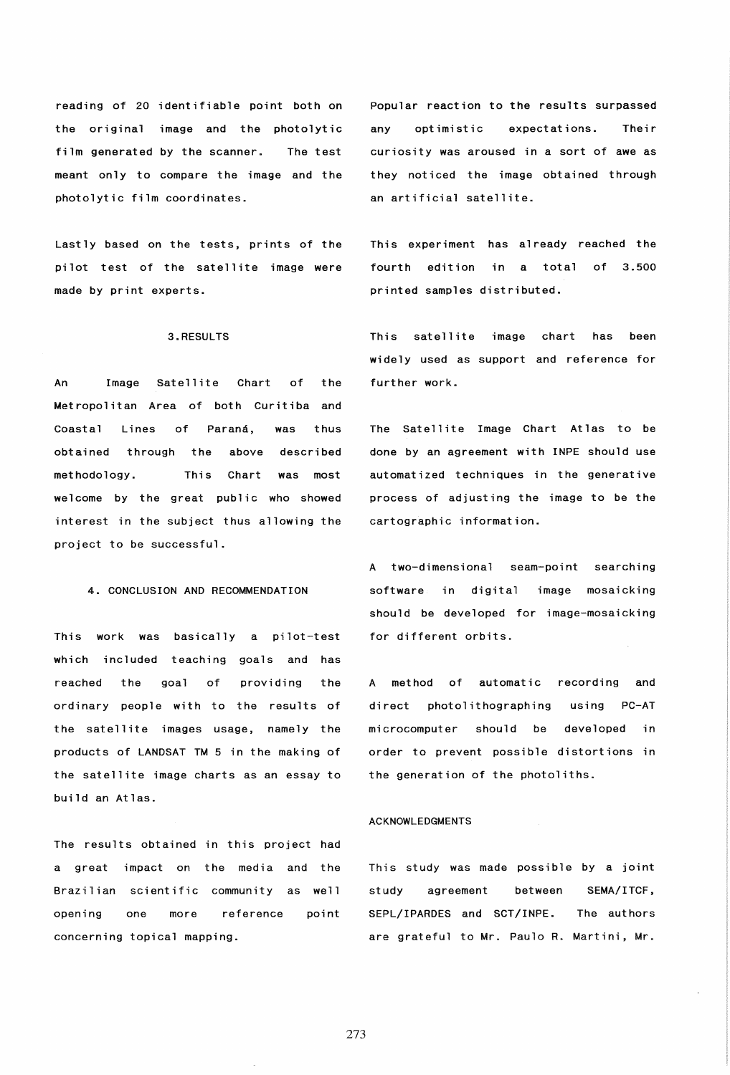reading of 20 identifiable point both on the original image and the photolytic film generated by the scanner. The test meant only to compare the image and the photolytic film coordinates.

Lastly based on the tests, prints of the pilot test of the satellite image were made by print experts.

### 3.RESULTS

An Image Satellite Chart of the Metropolitan Area of both Curitiba and Coastal Lines of Paraná, was thus obtained through the above described methodology. This Chart was most welcome by the great public who showed interest in the subject thus allowing the project to be successful.

# 4. CONCLUSION AND RECOMMENDATION

This work was basically a pilot-test which included teaching goals and has reached the goal of ordinary people with to the results of providing the the satellite images usage, namely the products of LANDSAT TM 5 in the making of the satellite image charts as an essay to build an Atlas.

The results obtained in this project had a great impact on the media and the Brazilian scientific community as well opening one more reference point concerning topical mapping.

Popular reaction to the results surpassed any optimistic expectations. Their curiosity was aroused in a sort of awe as they noticed the image obtained through an artificial satellite.

This experiment has already reached the fourth edition in a total of 3.500 printed samples distributed.

This satellite image chart has been widely used as support and reference for further work.

The Satellite Image Chart Atlas to be done by an agreement with INPE should use automatized techniques in the generative process of adjusting the image to be the cartographic information.

A two-dimensional seam-point searching software in digital image mosaicking should be developed for image-mosaicking for different orbits.

A method of automatic recording and direct photolithographing using PC-AT microcomputer should be developed in order to prevent possible distortions in the generation of the photoliths.

## ACKNOWLEDGMENTS

This study was made possible by a joint study agreement between SEMA/ITCF, SEPL/IPARDES and SCT/INPE. The authors are grateful to Mr. Paulo R. Martini, Mr.